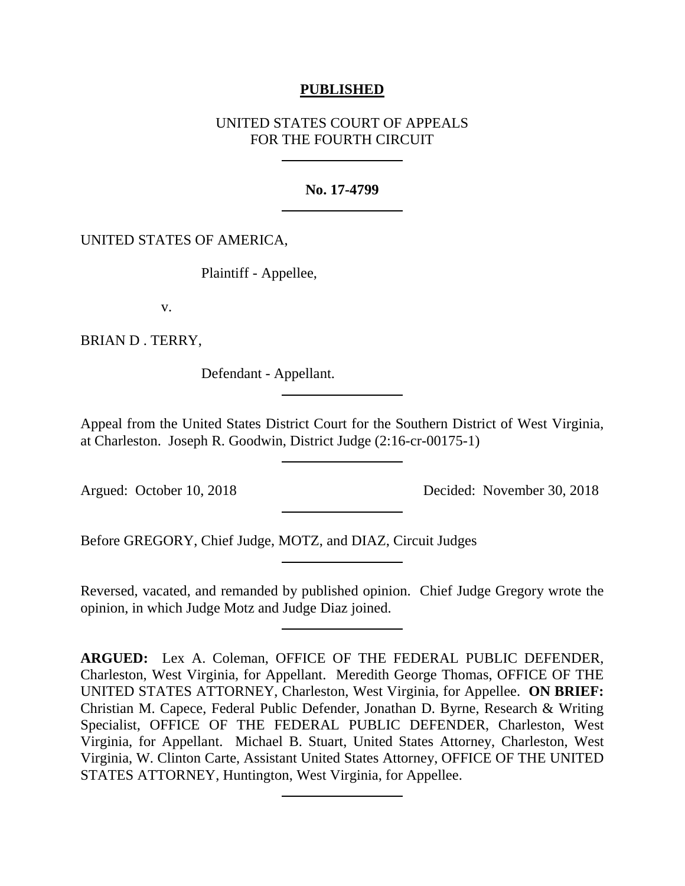# **PUBLISHED**

# UNITED STATES COURT OF APPEALS FOR THE FOURTH CIRCUIT

### **No. 17-4799**

## UNITED STATES OF AMERICA,

Plaintiff - Appellee,

v.

BRIAN D . TERRY,

Defendant - Appellant.

Appeal from the United States District Court for the Southern District of West Virginia, at Charleston. Joseph R. Goodwin, District Judge (2:16-cr-00175-1)

Argued: October 10, 2018 Decided: November 30, 2018

Before GREGORY, Chief Judge, MOTZ, and DIAZ, Circuit Judges

Reversed, vacated, and remanded by published opinion. Chief Judge Gregory wrote the opinion, in which Judge Motz and Judge Diaz joined.

**ARGUED:** Lex A. Coleman, OFFICE OF THE FEDERAL PUBLIC DEFENDER, Charleston, West Virginia, for Appellant. Meredith George Thomas, OFFICE OF THE UNITED STATES ATTORNEY, Charleston, West Virginia, for Appellee. **ON BRIEF:**  Christian M. Capece, Federal Public Defender, Jonathan D. Byrne, Research & Writing Specialist, OFFICE OF THE FEDERAL PUBLIC DEFENDER, Charleston, West Virginia, for Appellant. Michael B. Stuart, United States Attorney, Charleston, West Virginia, W. Clinton Carte, Assistant United States Attorney, OFFICE OF THE UNITED STATES ATTORNEY, Huntington, West Virginia, for Appellee.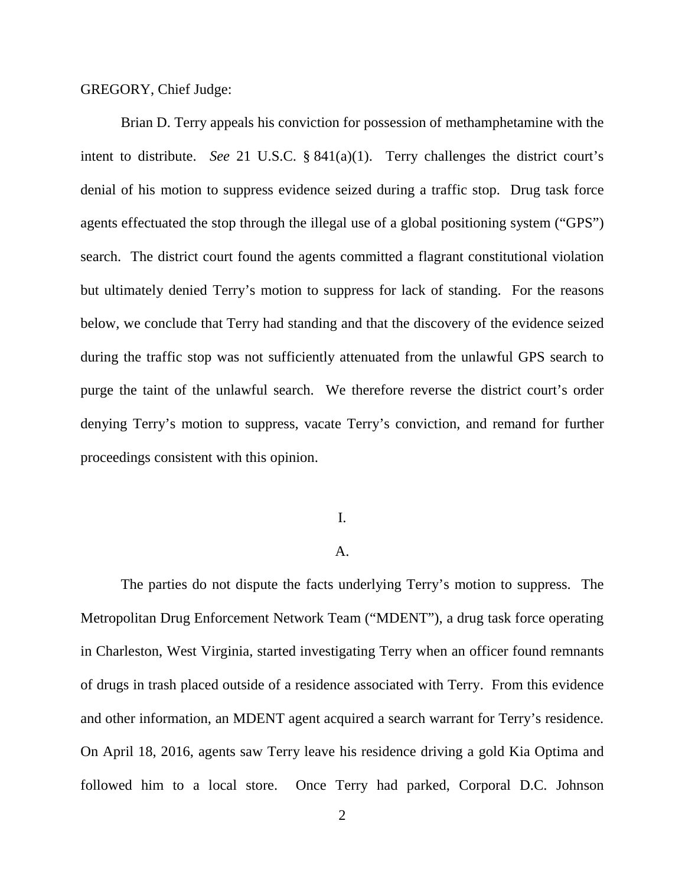#### GREGORY, Chief Judge:

Brian D. Terry appeals his conviction for possession of methamphetamine with the intent to distribute. *See* 21 U.S.C. § 841(a)(1). Terry challenges the district court's denial of his motion to suppress evidence seized during a traffic stop. Drug task force agents effectuated the stop through the illegal use of a global positioning system ("GPS") search. The district court found the agents committed a flagrant constitutional violation but ultimately denied Terry's motion to suppress for lack of standing. For the reasons below, we conclude that Terry had standing and that the discovery of the evidence seized during the traffic stop was not sufficiently attenuated from the unlawful GPS search to purge the taint of the unlawful search. We therefore reverse the district court's order denying Terry's motion to suppress, vacate Terry's conviction, and remand for further proceedings consistent with this opinion.

# I.

### A.

The parties do not dispute the facts underlying Terry's motion to suppress. The Metropolitan Drug Enforcement Network Team ("MDENT"), a drug task force operating in Charleston, West Virginia, started investigating Terry when an officer found remnants of drugs in trash placed outside of a residence associated with Terry. From this evidence and other information, an MDENT agent acquired a search warrant for Terry's residence. On April 18, 2016, agents saw Terry leave his residence driving a gold Kia Optima and followed him to a local store. Once Terry had parked, Corporal D.C. Johnson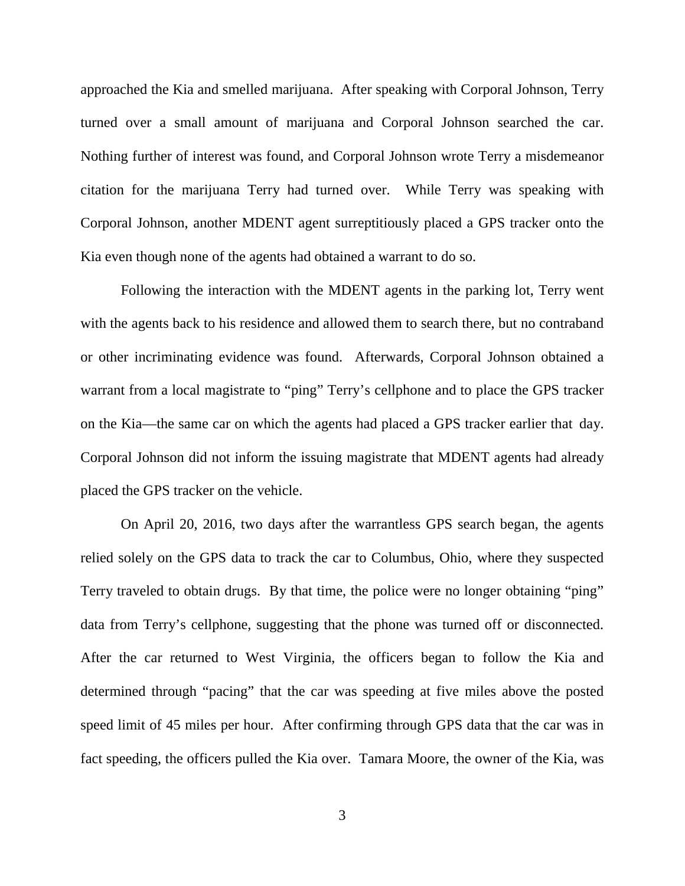approached the Kia and smelled marijuana. After speaking with Corporal Johnson, Terry turned over a small amount of marijuana and Corporal Johnson searched the car. Nothing further of interest was found, and Corporal Johnson wrote Terry a misdemeanor citation for the marijuana Terry had turned over. While Terry was speaking with Corporal Johnson, another MDENT agent surreptitiously placed a GPS tracker onto the Kia even though none of the agents had obtained a warrant to do so.

Following the interaction with the MDENT agents in the parking lot, Terry went with the agents back to his residence and allowed them to search there, but no contraband or other incriminating evidence was found. Afterwards, Corporal Johnson obtained a warrant from a local magistrate to "ping" Terry's cellphone and to place the GPS tracker on the Kia—the same car on which the agents had placed a GPS tracker earlier that day. Corporal Johnson did not inform the issuing magistrate that MDENT agents had already placed the GPS tracker on the vehicle.

On April 20, 2016, two days after the warrantless GPS search began, the agents relied solely on the GPS data to track the car to Columbus, Ohio, where they suspected Terry traveled to obtain drugs. By that time, the police were no longer obtaining "ping" data from Terry's cellphone, suggesting that the phone was turned off or disconnected. After the car returned to West Virginia, the officers began to follow the Kia and determined through "pacing" that the car was speeding at five miles above the posted speed limit of 45 miles per hour. After confirming through GPS data that the car was in fact speeding, the officers pulled the Kia over. Tamara Moore, the owner of the Kia, was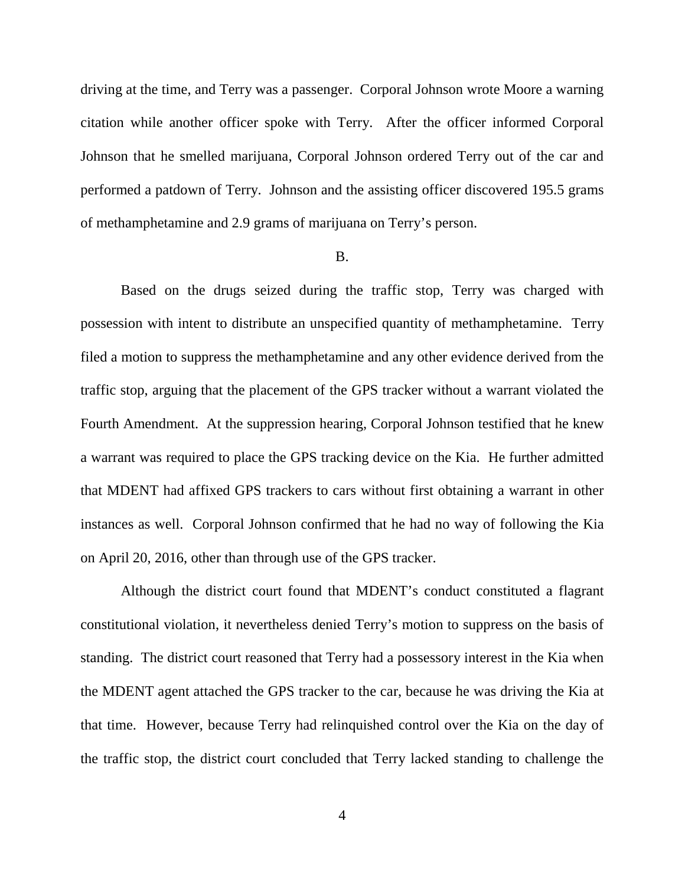driving at the time, and Terry was a passenger. Corporal Johnson wrote Moore a warning citation while another officer spoke with Terry. After the officer informed Corporal Johnson that he smelled marijuana, Corporal Johnson ordered Terry out of the car and performed a patdown of Terry. Johnson and the assisting officer discovered 195.5 grams of methamphetamine and 2.9 grams of marijuana on Terry's person.

### B.

Based on the drugs seized during the traffic stop, Terry was charged with possession with intent to distribute an unspecified quantity of methamphetamine. Terry filed a motion to suppress the methamphetamine and any other evidence derived from the traffic stop, arguing that the placement of the GPS tracker without a warrant violated the Fourth Amendment. At the suppression hearing, Corporal Johnson testified that he knew a warrant was required to place the GPS tracking device on the Kia. He further admitted that MDENT had affixed GPS trackers to cars without first obtaining a warrant in other instances as well. Corporal Johnson confirmed that he had no way of following the Kia on April 20, 2016, other than through use of the GPS tracker.

Although the district court found that MDENT's conduct constituted a flagrant constitutional violation, it nevertheless denied Terry's motion to suppress on the basis of standing. The district court reasoned that Terry had a possessory interest in the Kia when the MDENT agent attached the GPS tracker to the car, because he was driving the Kia at that time. However, because Terry had relinquished control over the Kia on the day of the traffic stop, the district court concluded that Terry lacked standing to challenge the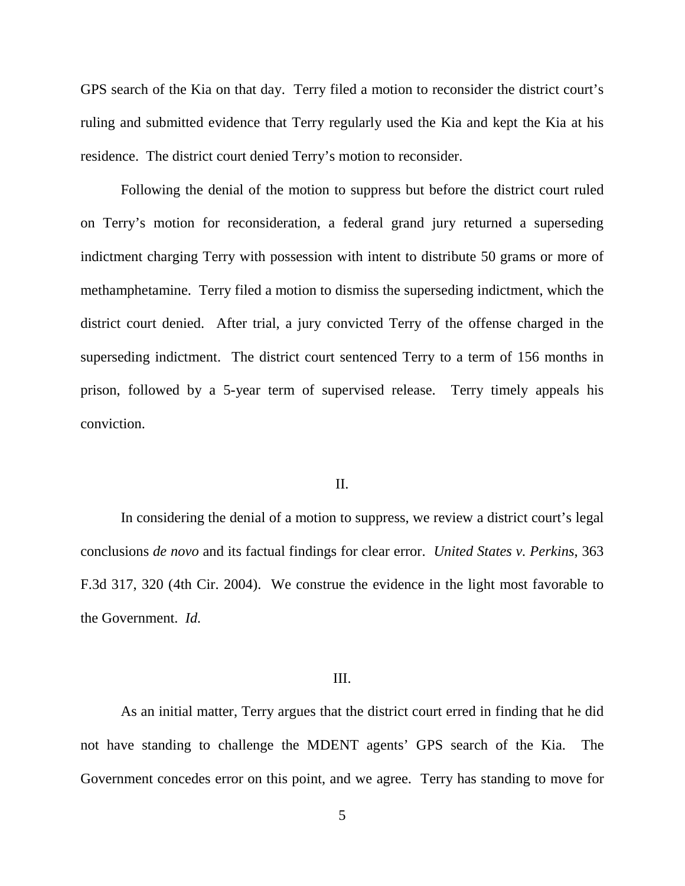GPS search of the Kia on that day. Terry filed a motion to reconsider the district court's ruling and submitted evidence that Terry regularly used the Kia and kept the Kia at his residence. The district court denied Terry's motion to reconsider.

Following the denial of the motion to suppress but before the district court ruled on Terry's motion for reconsideration, a federal grand jury returned a superseding indictment charging Terry with possession with intent to distribute 50 grams or more of methamphetamine. Terry filed a motion to dismiss the superseding indictment, which the district court denied. After trial, a jury convicted Terry of the offense charged in the superseding indictment. The district court sentenced Terry to a term of 156 months in prison, followed by a 5-year term of supervised release. Terry timely appeals his conviction.

#### II.

In considering the denial of a motion to suppress, we review a district court's legal conclusions *de novo* and its factual findings for clear error. *United States v. Perkins*, 363 F.3d 317, 320 (4th Cir. 2004). We construe the evidence in the light most favorable to the Government. *Id.*

#### III.

As an initial matter, Terry argues that the district court erred in finding that he did not have standing to challenge the MDENT agents' GPS search of the Kia. The Government concedes error on this point, and we agree. Terry has standing to move for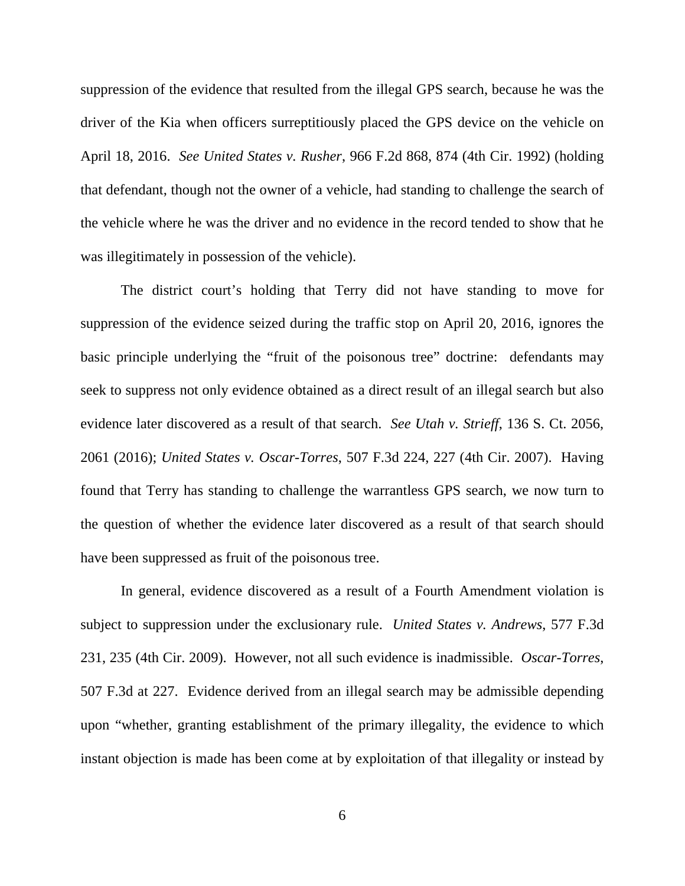suppression of the evidence that resulted from the illegal GPS search, because he was the driver of the Kia when officers surreptitiously placed the GPS device on the vehicle on April 18, 2016. *See United States v. Rusher*, 966 F.2d 868, 874 (4th Cir. 1992) (holding that defendant, though not the owner of a vehicle, had standing to challenge the search of the vehicle where he was the driver and no evidence in the record tended to show that he was illegitimately in possession of the vehicle).

The district court's holding that Terry did not have standing to move for suppression of the evidence seized during the traffic stop on April 20, 2016, ignores the basic principle underlying the "fruit of the poisonous tree" doctrine: defendants may seek to suppress not only evidence obtained as a direct result of an illegal search but also evidence later discovered as a result of that search. *See Utah v. Strieff*, 136 S. Ct. 2056, 2061 (2016); *United States v. Oscar-Torres*, 507 F.3d 224, 227 (4th Cir. 2007). Having found that Terry has standing to challenge the warrantless GPS search, we now turn to the question of whether the evidence later discovered as a result of that search should have been suppressed as fruit of the poisonous tree.

In general, evidence discovered as a result of a Fourth Amendment violation is subject to suppression under the exclusionary rule. *United States v. Andrews*, 577 F.3d 231, 235 (4th Cir. 2009). However, not all such evidence is inadmissible. *Oscar-Torres*, 507 F.3d at 227. Evidence derived from an illegal search may be admissible depending upon "whether, granting establishment of the primary illegality, the evidence to which instant objection is made has been come at by exploitation of that illegality or instead by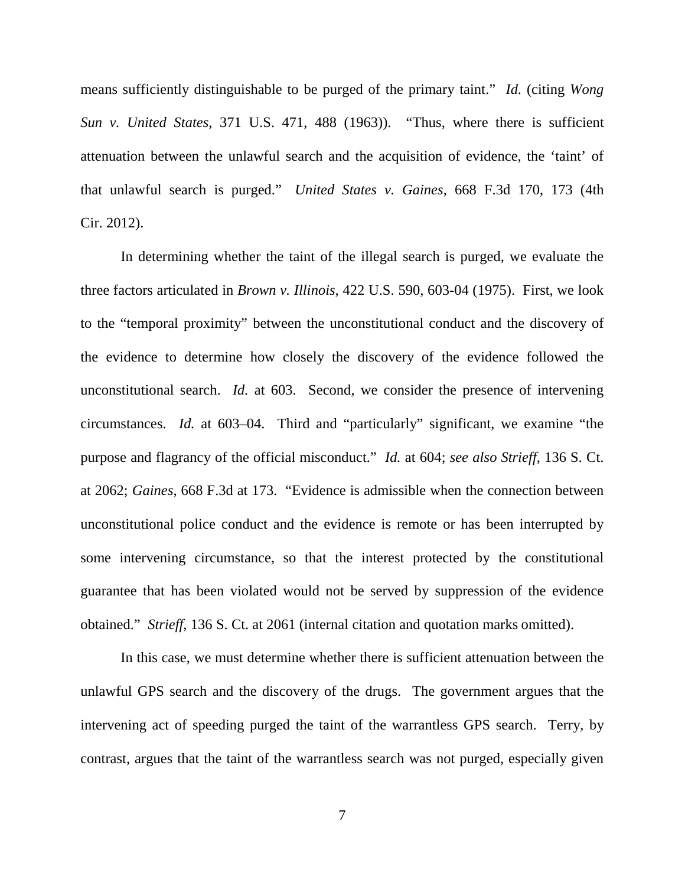means sufficiently distinguishable to be purged of the primary taint." *Id.* (citing *Wong Sun v. United States*, 371 U.S. 471, 488 (1963)). "Thus, where there is sufficient attenuation between the unlawful search and the acquisition of evidence, the 'taint' of that unlawful search is purged." *United States v. Gaines*, 668 F.3d 170, 173 (4th Cir. 2012).

In determining whether the taint of the illegal search is purged, we evaluate the three factors articulated in *Brown v. Illinois*, 422 U.S. 590, 603-04 (1975). First, we look to the "temporal proximity" between the unconstitutional conduct and the discovery of the evidence to determine how closely the discovery of the evidence followed the unconstitutional search. *Id.* at 603. Second, we consider the presence of intervening circumstances. *Id.* at 603–04. Third and "particularly" significant, we examine "the purpose and flagrancy of the official misconduct." *Id.* at 604; *see also Strieff*, 136 S. Ct. at 2062; *Gaines*, 668 F.3d at 173. "Evidence is admissible when the connection between unconstitutional police conduct and the evidence is remote or has been interrupted by some intervening circumstance, so that the interest protected by the constitutional guarantee that has been violated would not be served by suppression of the evidence obtained." *Strieff*, 136 S. Ct. at 2061 (internal citation and quotation marks omitted).

In this case, we must determine whether there is sufficient attenuation between the unlawful GPS search and the discovery of the drugs. The government argues that the intervening act of speeding purged the taint of the warrantless GPS search. Terry, by contrast, argues that the taint of the warrantless search was not purged, especially given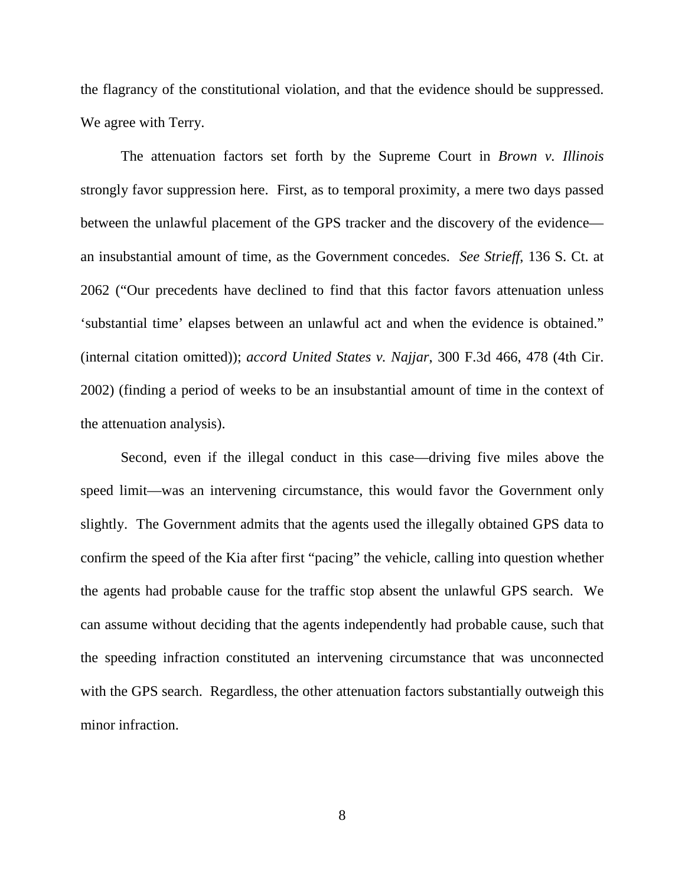the flagrancy of the constitutional violation, and that the evidence should be suppressed. We agree with Terry.

The attenuation factors set forth by the Supreme Court in *Brown v. Illinois*  strongly favor suppression here. First, as to temporal proximity, a mere two days passed between the unlawful placement of the GPS tracker and the discovery of the evidence an insubstantial amount of time, as the Government concedes. *See Strieff*, 136 S. Ct. at 2062 ("Our precedents have declined to find that this factor favors attenuation unless 'substantial time' elapses between an unlawful act and when the evidence is obtained." (internal citation omitted)); *accord United States v. Najjar*, 300 F.3d 466, 478 (4th Cir. 2002) (finding a period of weeks to be an insubstantial amount of time in the context of the attenuation analysis).

Second, even if the illegal conduct in this case—driving five miles above the speed limit—was an intervening circumstance, this would favor the Government only slightly. The Government admits that the agents used the illegally obtained GPS data to confirm the speed of the Kia after first "pacing" the vehicle, calling into question whether the agents had probable cause for the traffic stop absent the unlawful GPS search. We can assume without deciding that the agents independently had probable cause, such that the speeding infraction constituted an intervening circumstance that was unconnected with the GPS search. Regardless, the other attenuation factors substantially outweigh this minor infraction.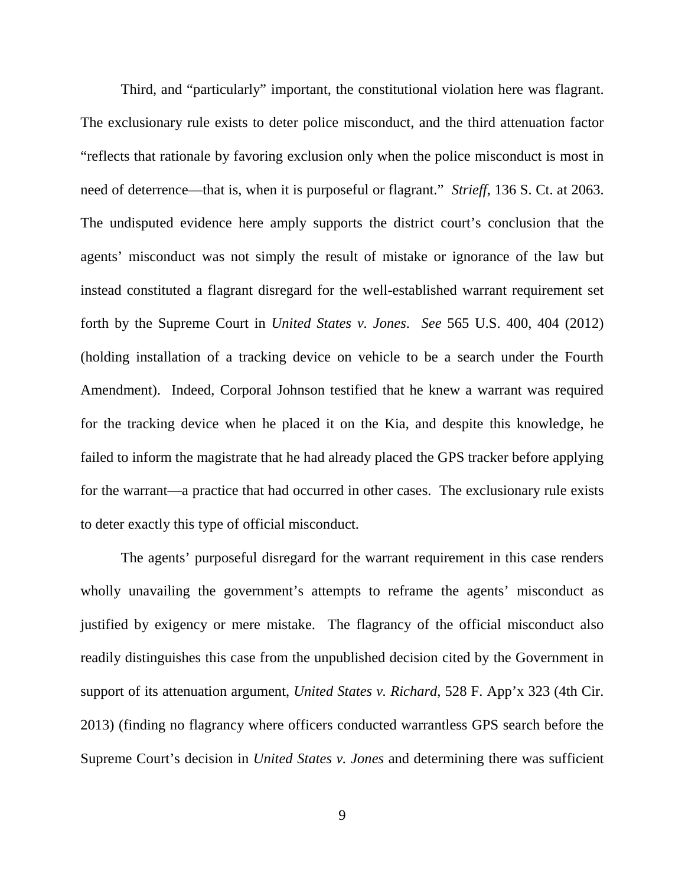Third, and "particularly" important, the constitutional violation here was flagrant. The exclusionary rule exists to deter police misconduct, and the third attenuation factor "reflects that rationale by favoring exclusion only when the police misconduct is most in need of deterrence—that is, when it is purposeful or flagrant." *Strieff*, 136 S. Ct. at 2063. The undisputed evidence here amply supports the district court's conclusion that the agents' misconduct was not simply the result of mistake or ignorance of the law but instead constituted a flagrant disregard for the well-established warrant requirement set forth by the Supreme Court in *United States v. Jones*. *See* 565 U.S. 400, 404 (2012) (holding installation of a tracking device on vehicle to be a search under the Fourth Amendment). Indeed, Corporal Johnson testified that he knew a warrant was required for the tracking device when he placed it on the Kia, and despite this knowledge, he failed to inform the magistrate that he had already placed the GPS tracker before applying for the warrant—a practice that had occurred in other cases. The exclusionary rule exists to deter exactly this type of official misconduct.

The agents' purposeful disregard for the warrant requirement in this case renders wholly unavailing the government's attempts to reframe the agents' misconduct as justified by exigency or mere mistake. The flagrancy of the official misconduct also readily distinguishes this case from the unpublished decision cited by the Government in support of its attenuation argument, *United States v. Richard*, 528 F. App'x 323 (4th Cir. 2013) (finding no flagrancy where officers conducted warrantless GPS search before the Supreme Court's decision in *United States v. Jones* and determining there was sufficient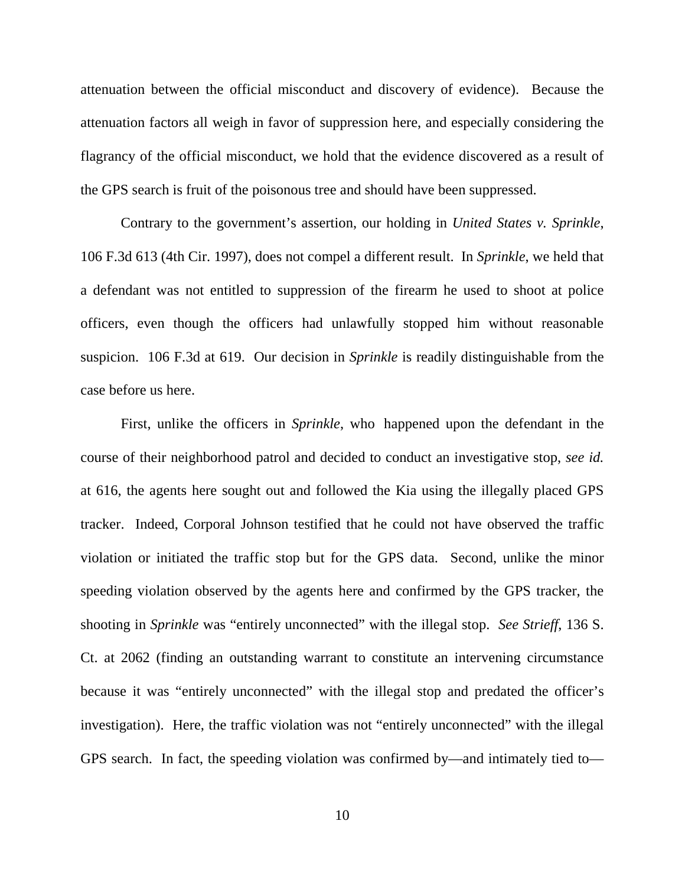attenuation between the official misconduct and discovery of evidence). Because the attenuation factors all weigh in favor of suppression here, and especially considering the flagrancy of the official misconduct, we hold that the evidence discovered as a result of the GPS search is fruit of the poisonous tree and should have been suppressed.

Contrary to the government's assertion, our holding in *United States v. Sprinkle*, 106 F.3d 613 (4th Cir. 1997), does not compel a different result. In *Sprinkle*, we held that a defendant was not entitled to suppression of the firearm he used to shoot at police officers, even though the officers had unlawfully stopped him without reasonable suspicion. 106 F.3d at 619. Our decision in *Sprinkle* is readily distinguishable from the case before us here.

First, unlike the officers in *Sprinkle*, who happened upon the defendant in the course of their neighborhood patrol and decided to conduct an investigative stop, *see id.* at 616, the agents here sought out and followed the Kia using the illegally placed GPS tracker. Indeed, Corporal Johnson testified that he could not have observed the traffic violation or initiated the traffic stop but for the GPS data. Second, unlike the minor speeding violation observed by the agents here and confirmed by the GPS tracker, the shooting in *Sprinkle* was "entirely unconnected" with the illegal stop. *See Strieff*, 136 S. Ct. at 2062 (finding an outstanding warrant to constitute an intervening circumstance because it was "entirely unconnected" with the illegal stop and predated the officer's investigation). Here, the traffic violation was not "entirely unconnected" with the illegal GPS search. In fact, the speeding violation was confirmed by—and intimately tied to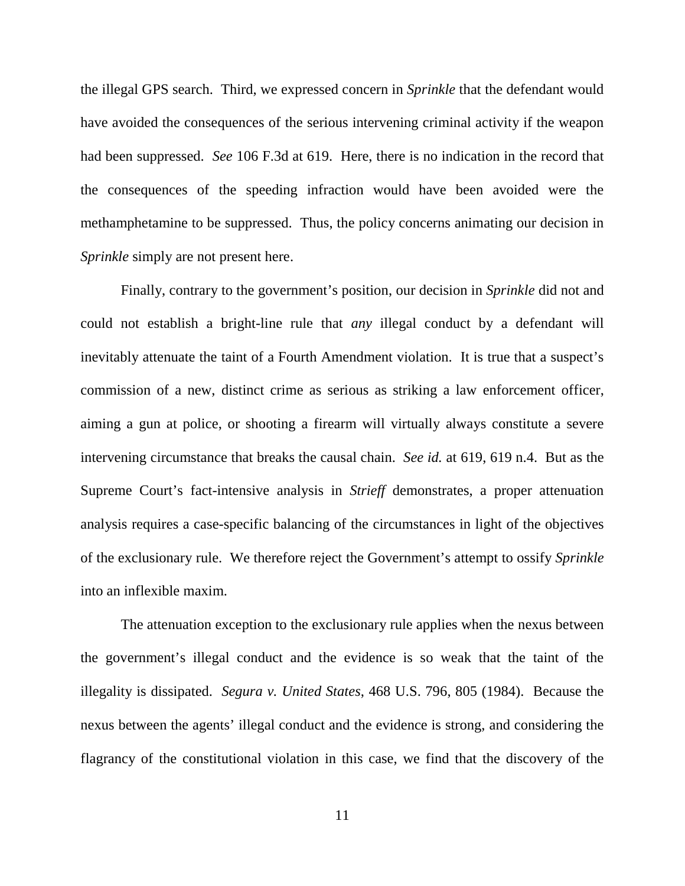the illegal GPS search. Third, we expressed concern in *Sprinkle* that the defendant would have avoided the consequences of the serious intervening criminal activity if the weapon had been suppressed. *See* 106 F.3d at 619. Here, there is no indication in the record that the consequences of the speeding infraction would have been avoided were the methamphetamine to be suppressed. Thus, the policy concerns animating our decision in *Sprinkle* simply are not present here.

Finally, contrary to the government's position, our decision in *Sprinkle* did not and could not establish a bright-line rule that *any* illegal conduct by a defendant will inevitably attenuate the taint of a Fourth Amendment violation. It is true that a suspect's commission of a new, distinct crime as serious as striking a law enforcement officer, aiming a gun at police, or shooting a firearm will virtually always constitute a severe intervening circumstance that breaks the causal chain. *See id.* at 619, 619 n.4. But as the Supreme Court's fact-intensive analysis in *Strieff* demonstrates, a proper attenuation analysis requires a case-specific balancing of the circumstances in light of the objectives of the exclusionary rule. We therefore reject the Government's attempt to ossify *Sprinkle*  into an inflexible maxim.

The attenuation exception to the exclusionary rule applies when the nexus between the government's illegal conduct and the evidence is so weak that the taint of the illegality is dissipated. *Segura v. United States*, 468 U.S. 796, 805 (1984). Because the nexus between the agents' illegal conduct and the evidence is strong, and considering the flagrancy of the constitutional violation in this case, we find that the discovery of the